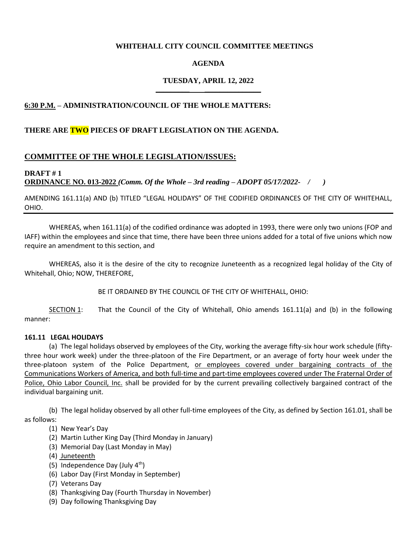### **WHITEHALL CITY COUNCIL COMMITTEE MEETINGS**

### **AGENDA**

#### **TUESDAY, APRIL 12, 2022 \_\_\_\_\_\_\_\_\_ \_\_\_\_\_\_\_\_\_\_\_\_\_\_\_**

### **6:30 P.M. – ADMINISTRATION/COUNCIL OF THE WHOLE MATTERS:**

### **THERE ARE TWO PIECES OF DRAFT LEGISLATION ON THE AGENDA.**

### **COMMITTEE OF THE WHOLE LEGISLATION/ISSUES:**

### **DRAFT # 1 ORDINANCE NO. 013-2022** *(Comm. Of the Whole – 3rd reading – ADOPT 05/17/2022- / )*

AMENDING 161.11(a) AND (b) TITLED "LEGAL HOLIDAYS" OF THE CODIFIED ORDINANCES OF THE CITY OF WHITEHALL, OHIO.

WHEREAS, when 161.11(a) of the codified ordinance was adopted in 1993, there were only two unions (FOP and IAFF) within the employees and since that time, there have been three unions added for a total of five unions which now require an amendment to this section, and

WHEREAS, also it is the desire of the city to recognize Juneteenth as a recognized legal holiday of the City of Whitehall, Ohio; NOW, THEREFORE,

BE IT ORDAINED BY THE COUNCIL OF THE CITY OF WHITEHALL, OHIO:

SECTION 1: That the Council of the City of Whitehall, Ohio amends 161.11(a) and (b) in the following manner:

#### **161.11 LEGAL HOLIDAYS**

(a) The legal holidays observed by employees of the City, working the average fifty-six hour work schedule (fiftythree hour work week) under the three-platoon of the Fire Department, or an average of forty hour week under the three-platoon system of the Police Department, or employees covered under bargaining contracts of the Communications Workers of America, and both full-time and part-time employees covered under The Fraternal Order of Police, Ohio Labor Council, Inc. shall be provided for by the current prevailing collectively bargained contract of the individual bargaining unit.

(b) The legal holiday observed by all other full-time employees of the City, as defined by Section 161.01, shall be as follows:

- (1) New Year's Day
- (2) Martin Luther King Day (Third Monday in January)
- (3) Memorial Day (Last Monday in May)
- (4) Juneteenth
- (5) Independence Day (July  $4<sup>th</sup>$ )
- (6) Labor Day (First Monday in September)
- (7) Veterans Day
- (8) Thanksgiving Day (Fourth Thursday in November)
- (9) Day following Thanksgiving Day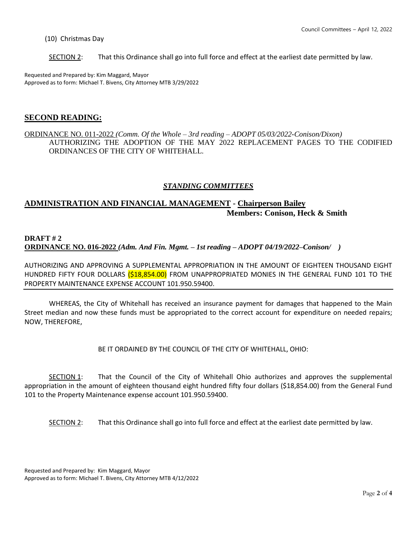#### (10) Christmas Day

SECTION 2: That this Ordinance shall go into full force and effect at the earliest date permitted by law.

Requested and Prepared by: Kim Maggard, Mayor Approved as to form: Michael T. Bivens, City Attorney MTB 3/29/2022

### **SECOND READING:**

ORDINANCE NO. 011-2022 *(Comm. Of the Whole – 3rd reading – ADOPT 05/03/2022-Conison/Dixon)* AUTHORIZING THE ADOPTION OF THE MAY 2022 REPLACEMENT PAGES TO THE CODIFIED ORDINANCES OF THE CITY OF WHITEHALL.

### *STANDING COMMITTEES*

## **ADMINISTRATION AND FINANCIAL MANAGEMENT - Chairperson Bailey Members: Conison, Heck & Smith**

### **DRAFT # 2 ORDINANCE NO. 016-2022** *(Adm. And Fin. Mgmt. – 1st reading – ADOPT 04/19/2022–Conison/ )*

AUTHORIZING AND APPROVING A SUPPLEMENTAL APPROPRIATION IN THE AMOUNT OF EIGHTEEN THOUSAND EIGHT HUNDRED FIFTY FOUR DOLLARS (\$18,854.00) FROM UNAPPROPRIATED MONIES IN THE GENERAL FUND 101 TO THE PROPERTY MAINTENANCE EXPENSE ACCOUNT 101.950.59400.

WHEREAS, the City of Whitehall has received an insurance payment for damages that happened to the Main Street median and now these funds must be appropriated to the correct account for expenditure on needed repairs; NOW, THEREFORE,

BE IT ORDAINED BY THE COUNCIL OF THE CITY OF WHITEHALL, OHIO:

SECTION 1: That the Council of the City of Whitehall Ohio authorizes and approves the supplemental appropriation in the amount of eighteen thousand eight hundred fifty four dollars (\$18,854.00) from the General Fund 101 to the Property Maintenance expense account 101.950.59400.

SECTION 2: That this Ordinance shall go into full force and effect at the earliest date permitted by law.

Requested and Prepared by: Kim Maggard, Mayor Approved as to form: Michael T. Bivens, City Attorney MTB 4/12/2022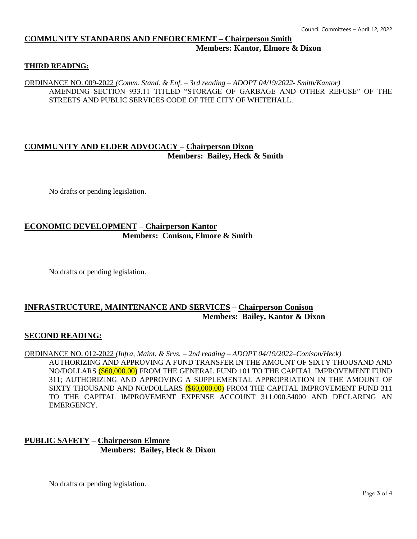### **COMMUNITY STANDARDS AND ENFORCEMENT – Chairperson Smith Members: Kantor, Elmore & Dixon**

#### **THIRD READING:**

ORDINANCE NO. 009-2022 *(Comm. Stand. & Enf. – 3rd reading – ADOPT 04/19/2022- Smith/Kantor)* AMENDING SECTION 933.11 TITLED "STORAGE OF GARBAGE AND OTHER REFUSE" OF THE STREETS AND PUBLIC SERVICES CODE OF THE CITY OF WHITEHALL.

### **COMMUNITY AND ELDER ADVOCACY – Chairperson Dixon Members: Bailey, Heck & Smith**

No drafts or pending legislation.

### **ECONOMIC DEVELOPMENT – Chairperson Kantor Members: Conison, Elmore & Smith**

No drafts or pending legislation.

## **INFRASTRUCTURE, MAINTENANCE AND SERVICES – Chairperson Conison Members: Bailey, Kantor & Dixon**

#### **SECOND READING:**

ORDINANCE NO. 012-2022 *(Infra, Maint. & Srvs. – 2nd reading – ADOPT 04/19/2022–Conison/Heck)* AUTHORIZING AND APPROVING A FUND TRANSFER IN THE AMOUNT OF SIXTY THOUSAND AND NO/DOLLARS (\$60,000.00) FROM THE GENERAL FUND 101 TO THE CAPITAL IMPROVEMENT FUND 311; AUTHORIZING AND APPROVING A SUPPLEMENTAL APPROPRIATION IN THE AMOUNT OF SIXTY THOUSAND AND NO/DOLLARS (\$60,000.00) FROM THE CAPITAL IMPROVEMENT FUND 311 TO THE CAPITAL IMPROVEMENT EXPENSE ACCOUNT 311.000.54000 AND DECLARING AN EMERGENCY.

## **PUBLIC SAFETY – Chairperson Elmore Members: Bailey, Heck & Dixon**

No drafts or pending legislation.